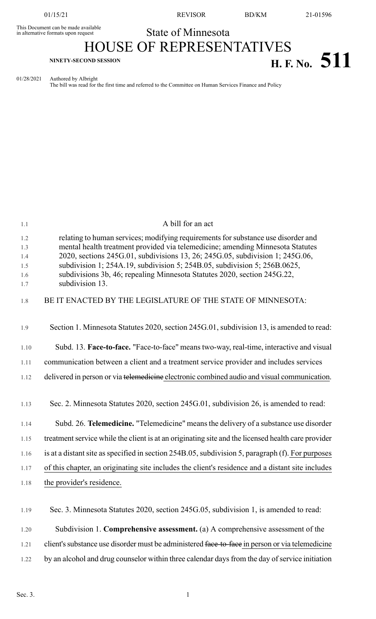01/15/21 REVISOR BD/KM 21-01596

## This Document can be made available<br>in alternative formats upon request **State of Minnesota** HOUSE OF REPRESENTATIVES

# **H. F. NO.**  $511$

01/28/2021 Authored by Albright

The bill was read for the first time and referred to the Committee on Human Services Finance and Policy

| 1.1                                    | A bill for an act                                                                                                                                                                                                                                                                                                                                                                                                                |
|----------------------------------------|----------------------------------------------------------------------------------------------------------------------------------------------------------------------------------------------------------------------------------------------------------------------------------------------------------------------------------------------------------------------------------------------------------------------------------|
| 1.2<br>1.3<br>1.4<br>1.5<br>1.6<br>1.7 | relating to human services; modifying requirements for substance use disorder and<br>mental health treatment provided via telemedicine; amending Minnesota Statutes<br>2020, sections 245G.01, subdivisions 13, 26; 245G.05, subdivision 1; 245G.06,<br>subdivision 1; 254A.19, subdivision 5; 254B.05, subdivision 5; 256B.0625,<br>subdivisions 3b, 46; repealing Minnesota Statutes 2020, section 245G.22,<br>subdivision 13. |
| 1.8                                    | BE IT ENACTED BY THE LEGISLATURE OF THE STATE OF MINNESOTA:                                                                                                                                                                                                                                                                                                                                                                      |
| 1.9                                    | Section 1. Minnesota Statutes 2020, section 245G.01, subdivision 13, is amended to read:                                                                                                                                                                                                                                                                                                                                         |
| 1.10                                   | Subd. 13. Face-to-face. "Face-to-face" means two-way, real-time, interactive and visual                                                                                                                                                                                                                                                                                                                                          |
| 1.11                                   | communication between a client and a treatment service provider and includes services                                                                                                                                                                                                                                                                                                                                            |
| 1.12                                   | delivered in person or via telemedicine electronic combined audio and visual communication.                                                                                                                                                                                                                                                                                                                                      |
| 1.13                                   | Sec. 2. Minnesota Statutes 2020, section 245G.01, subdivision 26, is amended to read:                                                                                                                                                                                                                                                                                                                                            |
| 1.14                                   | Subd. 26. Telemedicine. "Telemedicine" means the delivery of a substance use disorder                                                                                                                                                                                                                                                                                                                                            |
| 1.15                                   | treatment service while the client is at an originating site and the licensed health care provider                                                                                                                                                                                                                                                                                                                               |
| 1.16                                   | is at a distant site as specified in section 254B.05, subdivision 5, paragraph (f). For purposes                                                                                                                                                                                                                                                                                                                                 |
| 1.17                                   | of this chapter, an originating site includes the client's residence and a distant site includes                                                                                                                                                                                                                                                                                                                                 |
| 1.18                                   | the provider's residence.                                                                                                                                                                                                                                                                                                                                                                                                        |
| 1.19                                   | Sec. 3. Minnesota Statutes 2020, section 245G.05, subdivision 1, is amended to read:                                                                                                                                                                                                                                                                                                                                             |
| 1.20                                   | Subdivision 1. Comprehensive assessment. (a) A comprehensive assessment of the                                                                                                                                                                                                                                                                                                                                                   |
| 1.21                                   | client's substance use disorder must be administered face-to-face in person or via telemedicine                                                                                                                                                                                                                                                                                                                                  |

1.22 by an alcohol and drug counselor within three calendar days from the day of service initiation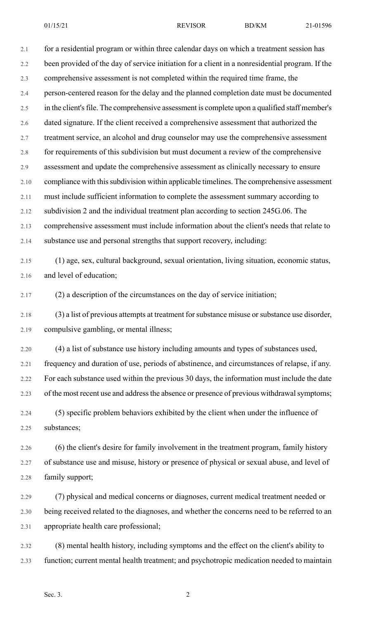2.1 for a residential program or within three calendar days on which a treatment session has 2.2 been provided of the day of service initiation for a client in a nonresidential program. If the 2.3 comprehensive assessment is not completed within the required time frame, the 2.4 person-centered reason for the delay and the planned completion date must be documented 2.5 in the client's file. The comprehensive assessment is complete upon a qualified staff member's 2.6 dated signature. If the client received a comprehensive assessment that authorized the 2.7 treatment service, an alcohol and drug counselor may use the comprehensive assessment 2.8 for requirements of this subdivision but must document a review of the comprehensive 2.9 assessment and update the comprehensive assessment as clinically necessary to ensure 2.10 compliance with this subdivision within applicable timelines. The comprehensive assessment 2.11 must include sufficient information to complete the assessment summary according to 2.12 subdivision 2 and the individual treatment plan according to section 245G.06. The 2.13 comprehensive assessment must include information about the client's needs that relate to 2.14 substance use and personal strengths that support recovery, including: 2.15 (1) age, sex, cultural background, sexual orientation, living situation, economic status, 2.16 and level of education; 2.17 (2) a description of the circumstances on the day of service initiation; 2.18 (3) a list of previous attempts at treatment for substance misuse or substance use disorder, 2.19 compulsive gambling, or mental illness; 2.20 (4) a list of substance use history including amounts and types of substances used, 2.21 frequency and duration of use, periods of abstinence, and circumstances of relapse, if any. 2.22 For each substance used within the previous 30 days, the information must include the date 2.23 of the most recent use and address the absence or presence of previous withdrawal symptoms; 2.24 (5) specific problem behaviors exhibited by the client when under the influence of 2.25 substances; 2.26 (6) the client's desire for family involvement in the treatment program, family history 2.27 of substance use and misuse, history or presence of physical or sexual abuse, and level of 2.28 family support; 2.29 (7) physical and medical concerns or diagnoses, current medical treatment needed or 2.30 being received related to the diagnoses, and whether the concerns need to be referred to an 2.31 appropriate health care professional;

2.32 (8) mental health history, including symptoms and the effect on the client's ability to 2.33 function; current mental health treatment; and psychotropic medication needed to maintain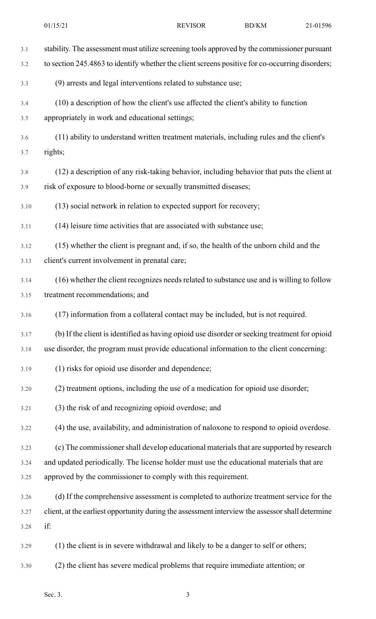| 3.1  | stability. The assessment must utilize screening tools approved by the commissioner pursuant     |
|------|--------------------------------------------------------------------------------------------------|
| 3.2  | to section 245.4863 to identify whether the client screens positive for co-occurring disorders;  |
| 3.3  | (9) arrests and legal interventions related to substance use;                                    |
| 3.4  | (10) a description of how the client's use affected the client's ability to function             |
| 3.5  | appropriately in work and educational settings;                                                  |
| 3.6  | (11) ability to understand written treatment materials, including rules and the client's         |
| 3.7  | rights;                                                                                          |
| 3.8  | (12) a description of any risk-taking behavior, including behavior that puts the client at       |
| 3.9  | risk of exposure to blood-borne or sexually transmitted diseases;                                |
| 3.10 | (13) social network in relation to expected support for recovery;                                |
| 3.11 | (14) leisure time activities that are associated with substance use;                             |
| 3.12 | (15) whether the client is pregnant and, if so, the health of the unborn child and the           |
| 3.13 | client's current involvement in prenatal care;                                                   |
| 3.14 | (16) whether the client recognizes needs related to substance use and is willing to follow       |
| 3.15 | treatment recommendations; and                                                                   |
| 3.16 | (17) information from a collateral contact may be included, but is not required.                 |
| 3.17 | (b) If the client is identified as having opioid use disorder or seeking treatment for opioid    |
| 3.18 | use disorder, the program must provide educational information to the client concerning:         |
| 3.19 | (1) risks for opioid use disorder and dependence;                                                |
| 3.20 | (2) treatment options, including the use of a medication for opioid use disorder;                |
| 3.21 | (3) the risk of and recognizing opioid overdose; and                                             |
| 3.22 | (4) the use, availability, and administration of naloxone to respond to opioid overdose.         |
| 3.23 | (c) The commissioner shall develop educational materials that are supported by research          |
| 3.24 | and updated periodically. The license holder must use the educational materials that are         |
| 3.25 | approved by the commissioner to comply with this requirement.                                    |
| 3.26 | (d) If the comprehensive assessment is completed to authorize treatment service for the          |
| 3.27 | client, at the earliest opportunity during the assessment interview the assessor shall determine |
| 3.28 | if:                                                                                              |
| 3.29 | (1) the client is in severe withdrawal and likely to be a danger to self or others;              |
| 3.30 | (2) the client has severe medical problems that require immediate attention; or                  |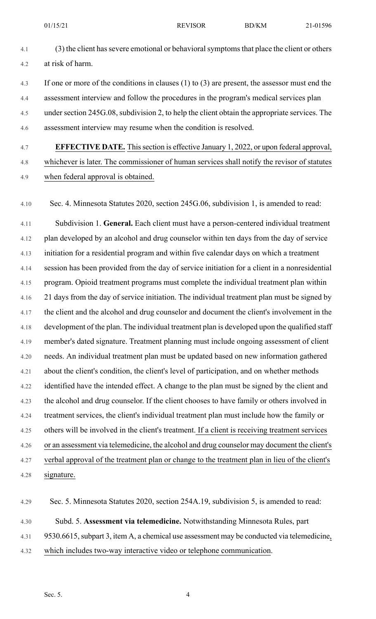- 4.1 (3) the client has severe emotional or behavioral symptoms that place the client or others 4.2 at risk of harm.
- 4.3 If one or more of the conditions in clauses (1) to (3) are present, the assessor must end the 4.4 assessment interview and follow the procedures in the program's medical services plan 4.5 under section 245G.08, subdivision 2, to help the client obtain the appropriate services. The 4.6 assessment interview may resume when the condition is resolved.
- 4.7 **EFFECTIVE DATE.** Thissection is effective January 1, 2022, or upon federal approval, 4.8 whichever is later. The commissioner of human services shall notify the revisor of statutes 4.9 when federal approval is obtained.
- 4.10 Sec. 4. Minnesota Statutes 2020, section 245G.06, subdivision 1, is amended to read:
- 4.11 Subdivision 1. **General.** Each client must have a person-centered individual treatment 4.12 plan developed by an alcohol and drug counselor within ten days from the day of service 4.13 initiation for a residential program and within five calendar days on which a treatment 4.14 session has been provided from the day of service initiation for a client in a nonresidential 4.15 program. Opioid treatment programs must complete the individual treatment plan within 4.16 21 days from the day of service initiation. The individual treatment plan must be signed by 4.17 the client and the alcohol and drug counselor and document the client's involvement in the 4.18 development of the plan. The individual treatment plan is developed upon the qualified staff 4.19 member's dated signature. Treatment planning must include ongoing assessment of client 4.20 needs. An individual treatment plan must be updated based on new information gathered 4.21 about the client's condition, the client's level of participation, and on whether methods 4.22 identified have the intended effect. A change to the plan must be signed by the client and 4.23 the alcohol and drug counselor. If the client chooses to have family or others involved in 4.24 treatment services, the client's individual treatment plan must include how the family or 4.25 others will be involved in the client's treatment. If a client is receiving treatment services 4.26 or an assessment via telemedicine, the alcohol and drug counselor may document the client's 4.27 verbal approval of the treatment plan or change to the treatment plan in lieu of the client's 4.28 signature.
- 4.29 Sec. 5. Minnesota Statutes 2020, section 254A.19, subdivision 5, is amended to read: 4.30 Subd. 5. **Assessment via telemedicine.** Notwithstanding Minnesota Rules, part 4.31 9530.6615, subpart 3, item A, a chemical use assessment may be conducted via telemedicine, 4.32 which includes two-way interactive video or telephone communication.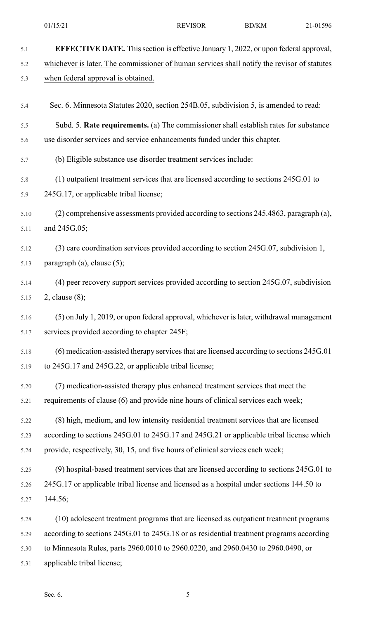| 5.1  | <b>EFFECTIVE DATE.</b> This section is effective January 1, 2022, or upon federal approval, |
|------|---------------------------------------------------------------------------------------------|
| 5.2  | whichever is later. The commissioner of human services shall notify the revisor of statutes |
| 5.3  | when federal approval is obtained.                                                          |
| 5.4  | Sec. 6. Minnesota Statutes 2020, section 254B.05, subdivision 5, is amended to read:        |
| 5.5  | Subd. 5. Rate requirements. (a) The commissioner shall establish rates for substance        |
| 5.6  | use disorder services and service enhancements funded under this chapter.                   |
| 5.7  | (b) Eligible substance use disorder treatment services include:                             |
| 5.8  | (1) outpatient treatment services that are licensed according to sections 245G.01 to        |
| 5.9  | 245G.17, or applicable tribal license;                                                      |
| 5.10 | (2) comprehensive assessments provided according to sections 245.4863, paragraph (a),       |
| 5.11 | and 245G.05;                                                                                |
| 5.12 | (3) care coordination services provided according to section 245G.07, subdivision 1,        |
| 5.13 | paragraph $(a)$ , clause $(5)$ ;                                                            |
| 5.14 | (4) peer recovery support services provided according to section 245G.07, subdivision       |
| 5.15 | 2, clause $(8)$ ;                                                                           |
| 5.16 | (5) on July 1, 2019, or upon federal approval, whichever is later, withdrawal management    |
| 5.17 | services provided according to chapter 245F;                                                |
| 5.18 | (6) medication-assisted therapy services that are licensed according to sections 245G.01    |
| 5.19 | to 245G.17 and 245G.22, or applicable tribal license;                                       |
| 5.20 | (7) medication-assisted therapy plus enhanced treatment services that meet the              |
| 5.21 | requirements of clause (6) and provide nine hours of clinical services each week;           |
| 5.22 | (8) high, medium, and low intensity residential treatment services that are licensed        |
| 5.23 | according to sections 245G.01 to 245G.17 and 245G.21 or applicable tribal license which     |
| 5.24 | provide, respectively, 30, 15, and five hours of clinical services each week;               |
| 5.25 | (9) hospital-based treatment services that are licensed according to sections 245G.01 to    |
| 5.26 | 245G.17 or applicable tribal license and licensed as a hospital under sections 144.50 to    |
| 5.27 | 144.56;                                                                                     |
| 5.28 | (10) adolescent treatment programs that are licensed as outpatient treatment programs       |
| 5.29 | according to sections 245G.01 to 245G.18 or as residential treatment programs according     |
| 5.30 | to Minnesota Rules, parts 2960.0010 to 2960.0220, and 2960.0430 to 2960.0490, or            |
| 5.31 | applicable tribal license;                                                                  |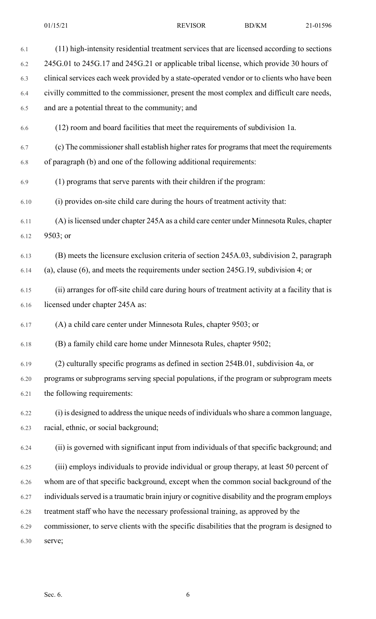| 6.1  | (11) high-intensity residential treatment services that are licensed according to sections     |
|------|------------------------------------------------------------------------------------------------|
| 6.2  | 245G.01 to 245G.17 and 245G.21 or applicable tribal license, which provide 30 hours of         |
| 6.3  | clinical services each week provided by a state-operated vendor or to clients who have been    |
| 6.4  | civilly committed to the commissioner, present the most complex and difficult care needs,      |
| 6.5  | and are a potential threat to the community; and                                               |
| 6.6  | (12) room and board facilities that meet the requirements of subdivision 1a.                   |
| 6.7  | (c) The commissioner shall establish higher rates for programs that meet the requirements      |
| 6.8  | of paragraph (b) and one of the following additional requirements:                             |
| 6.9  | (1) programs that serve parents with their children if the program:                            |
| 6.10 | (i) provides on-site child care during the hours of treatment activity that:                   |
| 6.11 | (A) is licensed under chapter 245A as a child care center under Minnesota Rules, chapter       |
| 6.12 | 9503; or                                                                                       |
| 6.13 | (B) meets the licensure exclusion criteria of section 245A.03, subdivision 2, paragraph        |
| 6.14 | (a), clause $(6)$ , and meets the requirements under section 245G.19, subdivision 4; or        |
| 6.15 | (ii) arranges for off-site child care during hours of treatment activity at a facility that is |
| 6.16 | licensed under chapter 245A as:                                                                |
| 6.17 | (A) a child care center under Minnesota Rules, chapter 9503; or                                |
| 6.18 | (B) a family child care home under Minnesota Rules, chapter 9502;                              |
| 6.19 | (2) culturally specific programs as defined in section 254B.01, subdivision 4a, or             |
| 6.20 | programs or subprograms serving special populations, if the program or subprogram meets        |
| 6.21 | the following requirements:                                                                    |
| 6.22 | (i) is designed to address the unique needs of individuals who share a common language,        |
| 6.23 | racial, ethnic, or social background;                                                          |
| 6.24 | (ii) is governed with significant input from individuals of that specific background; and      |
| 6.25 | (iii) employs individuals to provide individual or group therapy, at least 50 percent of       |
| 6.26 | whom are of that specific background, except when the common social background of the          |
| 6.27 | individuals served is a traumatic brain injury or cognitive disability and the program employs |
| 6.28 | treatment staff who have the necessary professional training, as approved by the               |
| 6.29 | commissioner, to serve clients with the specific disabilities that the program is designed to  |
| 6.30 | serve;                                                                                         |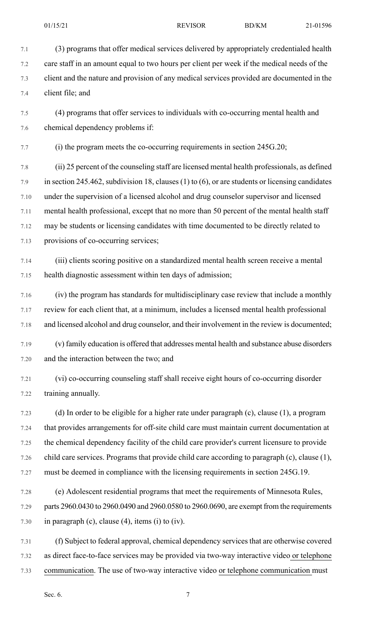01/15/21 REVISOR BD/KM 21-01596

7.1 (3) programs that offer medical services delivered by appropriately credentialed health 7.2 care staff in an amount equal to two hours per client per week if the medical needs of the 7.3 client and the nature and provision of any medical services provided are documented in the 7.4 client file; and

7.5 (4) programs that offer services to individuals with co-occurring mental health and 7.6 chemical dependency problems if:

7.7 (i) the program meets the co-occurring requirements in section 245G.20;

7.8 (ii) 25 percent of the counseling staff are licensed mental health professionals, as defined 7.9 in section 245.462, subdivision 18, clauses (1) to (6), or are students or licensing candidates 7.10 under the supervision of a licensed alcohol and drug counselor supervisor and licensed 7.11 mental health professional, except that no more than 50 percent of the mental health staff 7.12 may be students or licensing candidates with time documented to be directly related to 7.13 provisions of co-occurring services;

7.14 (iii) clients scoring positive on a standardized mental health screen receive a mental 7.15 health diagnostic assessment within ten days of admission;

7.16 (iv) the program has standards for multidisciplinary case review that include a monthly 7.17 review for each client that, at a minimum, includes a licensed mental health professional 7.18 and licensed alcohol and drug counselor, and their involvement in the review is documented;

7.19 (v) family education is offered that addresses mental health and substance abuse disorders 7.20 and the interaction between the two; and

7.21 (vi) co-occurring counseling staff shall receive eight hours of co-occurring disorder 7.22 training annually.

7.23 (d) In order to be eligible for a higher rate under paragraph (c), clause (1), a program 7.24 that provides arrangements for off-site child care must maintain current documentation at 7.25 the chemical dependency facility of the child care provider's current licensure to provide 7.26 child care services. Programs that provide child care according to paragraph (c), clause (1), 7.27 must be deemed in compliance with the licensing requirements in section 245G.19.

7.28 (e) Adolescent residential programs that meet the requirements of Minnesota Rules, 7.29 parts 2960.0430 to 2960.0490 and 2960.0580 to 2960.0690, are exempt from the requirements 7.30 in paragraph (c), clause (4), items (i) to (iv).

7.31 (f) Subject to federal approval, chemical dependency services that are otherwise covered 7.32 as direct face-to-face services may be provided via two-way interactive video or telephone 7.33 communication. The use of two-way interactive video or telephone communication must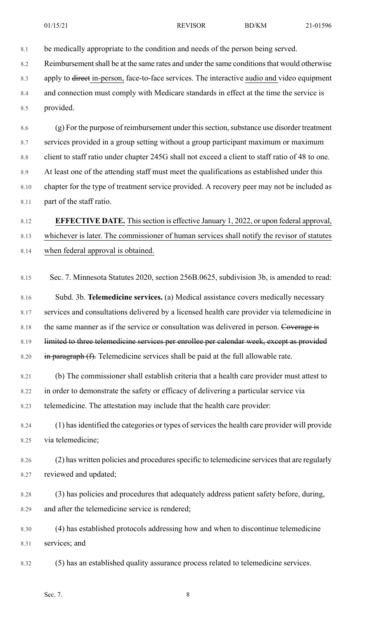8.1 be medically appropriate to the condition and needs of the person being served.

8.2 Reimbursement shall be at the same rates and under the same conditions that would otherwise

8.3 apply to <del>direct</del> in-person, face-to-face services. The interactive audio and video equipment 8.4 and connection must comply with Medicare standards in effect at the time the service is

8.5 provided.

8.6 (g) For the purpose of reimbursement under this section, substance use disorder treatment 8.7 services provided in a group setting without a group participant maximum or maximum 8.8 client to staff ratio under chapter 245G shall not exceed a client to staff ratio of 48 to one. 8.9 At least one of the attending staff must meet the qualifications as established under this 8.10 chapter for the type of treatment service provided. A recovery peer may not be included as 8.11 part of the staff ratio.

8.12 **EFFECTIVE DATE.** Thissection is effective January 1, 2022, or upon federal approval, 8.13 whichever is later. The commissioner of human services shall notify the revisor of statutes 8.14 when federal approval is obtained.

8.15 Sec. 7. Minnesota Statutes 2020, section 256B.0625, subdivision 3b, is amended to read:

8.16 Subd. 3b. **Telemedicine services.** (a) Medical assistance covers medically necessary 8.17 services and consultations delivered by a licensed health care provider via telemedicine in 8.18 the same manner as if the service or consultation was delivered in person. Coverage is 8.19 limited to three telemedicine services per enrollee per calendar week, except as provided 8.20  $\dot{m}$  paragraph (f). Telemedicine services shall be paid at the full allowable rate.

8.21 (b) The commissioner shall establish criteria that a health care provider must attest to 8.22 in order to demonstrate the safety or efficacy of delivering a particular service via 8.23 telemedicine. The attestation may include that the health care provider:

8.24 (1) has identified the categories or types of services the health care provider will provide 8.25 via telemedicine;

8.26 (2) has written policies and procedures specific to telemedicine services that are regularly 8.27 reviewed and updated;

8.28 (3) has policies and procedures that adequately address patient safety before, during, 8.29 and after the telemedicine service is rendered;

8.30 (4) has established protocols addressing how and when to discontinue telemedicine 8.31 services; and

8.32 (5) has an established quality assurance process related to telemedicine services.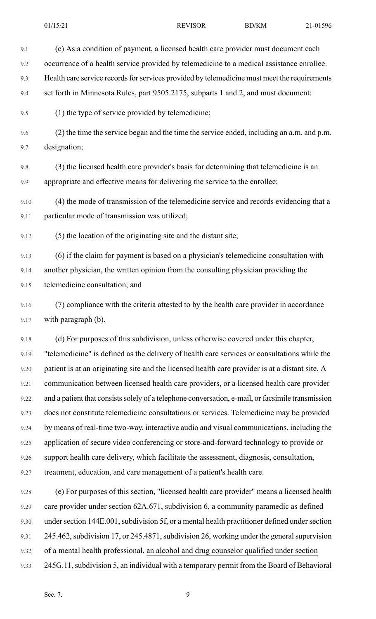9.1 (c) As a condition of payment, a licensed health care provider must document each 9.2 occurrence of a health service provided by telemedicine to a medical assistance enrollee. 9.3 Health care service records for services provided by telemedicine must meet the requirements 9.4 set forth in Minnesota Rules, part 9505.2175, subparts 1 and 2, and must document: 9.5 (1) the type of service provided by telemedicine; 9.6 (2) the time the service began and the time the service ended, including an a.m. and p.m. 9.7 designation; 9.8 (3) the licensed health care provider's basis for determining that telemedicine is an 9.9 appropriate and effective means for delivering the service to the enrollee; 9.10 (4) the mode of transmission of the telemedicine service and records evidencing that a 9.11 particular mode of transmission was utilized; 9.12 (5) the location of the originating site and the distant site; 9.13 (6) if the claim for payment is based on a physician's telemedicine consultation with 9.14 another physician, the written opinion from the consulting physician providing the

9.15 telemedicine consultation; and

9.16 (7) compliance with the criteria attested to by the health care provider in accordance 9.17 with paragraph (b).

9.18 (d) For purposes of this subdivision, unless otherwise covered under this chapter, 9.19 "telemedicine" is defined as the delivery of health care services or consultations while the 9.20 patient is at an originating site and the licensed health care provider is at a distant site. A 9.21 communication between licensed health care providers, or a licensed health care provider 9.22 and a patient that consists solely of a telephone conversation, e-mail, or facsimile transmission 9.23 does not constitute telemedicine consultations or services. Telemedicine may be provided 9.24 by means of real-time two-way, interactive audio and visual communications, including the 9.25 application of secure video conferencing or store-and-forward technology to provide or 9.26 support health care delivery, which facilitate the assessment, diagnosis, consultation, 9.27 treatment, education, and care management of a patient's health care.

9.28 (e) For purposes of this section, "licensed health care provider" means a licensed health 9.29 care provider under section 62A.671, subdivision 6, a community paramedic as defined 9.30 under section 144E.001, subdivision 5f, or a mental health practitioner defined under section 9.31 245.462, subdivision 17, or 245.4871, subdivision 26, working under the general supervision 9.32 of a mental health professional, an alcohol and drug counselor qualified under section 9.33 245G.11,subdivision 5, an individual with a temporary permit from the Board of Behavioral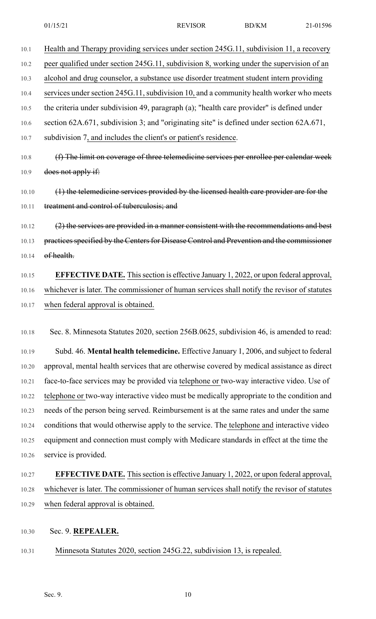10.1 Health and Therapy providing services under section 245G.11, subdivision 11, a recovery 10.2 peer qualified under section 245G.11, subdivision 8, working under the supervision of an 10.3 alcohol and drug counselor, a substance use disorder treatment student intern providing 10.4 services under section 245G.11, subdivision 10, and a community health worker who meets 10.5 the criteria under subdivision 49, paragraph (a); "health care provider" is defined under 10.6 section 62A.671, subdivision 3; and "originating site" is defined under section 62A.671, 10.7 subdivision 7, and includes the client's or patient's residence. 10.8 (f) The limit on coverage of three telemedicine services per enrollee per calendar week 10.9 does not apply if:

10.10 (1) the telemedicine services provided by the licensed health care provider are for the 10.11 treatment and control of tuberculosis; and

10.12 (2) the services are provided in a manner consistent with the recommendations and best 10.13 practices specified by the Centers for Disease Control and Prevention and the commissioner 10.14 **of health.** 

10.15 **EFFECTIVE DATE.** Thissection is effective January 1, 2022, or upon federal approval, 10.16 whichever is later. The commissioner of human services shall notify the revisor of statutes 10.17 when federal approval is obtained.

10.18 Sec. 8. Minnesota Statutes 2020, section 256B.0625, subdivision 46, is amended to read:

10.19 Subd. 46. **Mental health telemedicine.** Effective January 1, 2006, and subject to federal 10.20 approval, mental health services that are otherwise covered by medical assistance as direct 10.21 face-to-face services may be provided via telephone or two-way interactive video. Use of 10.22 telephone or two-way interactive video must be medically appropriate to the condition and 10.23 needs of the person being served. Reimbursement is at the same rates and under the same 10.24 conditions that would otherwise apply to the service. The telephone and interactive video 10.25 equipment and connection must comply with Medicare standards in effect at the time the 10.26 service is provided.

### 10.27 **EFFECTIVE DATE.** Thissection is effective January 1, 2022, or upon federal approval, 10.28 whichever is later. The commissioner of human services shall notify the revisor of statutes 10.29 when federal approval is obtained.

- 10.30 Sec. 9. **REPEALER.**
- 10.31 Minnesota Statutes 2020, section 245G.22, subdivision 13, is repealed.